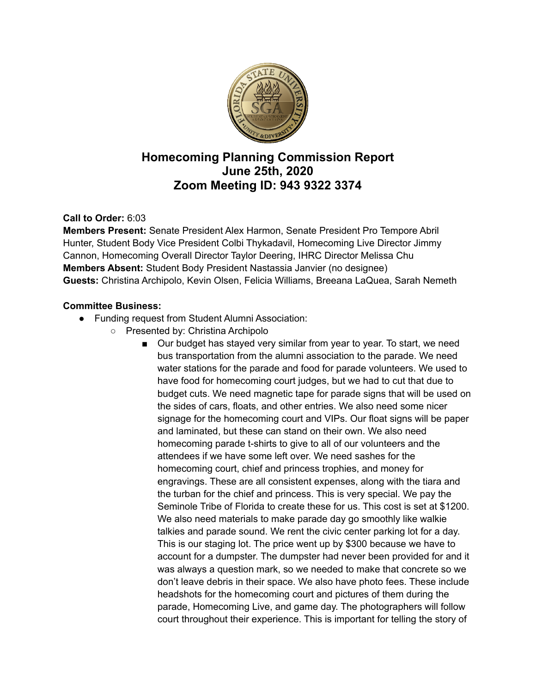

# **Homecoming Planning Commission Report June 25th, 2020 Zoom Meeting ID: 943 9322 3374**

## **Call to Order:** 6:03

**Members Present:** Senate President Alex Harmon, Senate President Pro Tempore Abril Hunter, Student Body Vice President Colbi Thykadavil, Homecoming Live Director Jimmy Cannon, Homecoming Overall Director Taylor Deering, IHRC Director Melissa Chu **Members Absent:** Student Body President Nastassia Janvier (no designee) **Guests:** Christina Archipolo, Kevin Olsen, Felicia Williams, Breeana LaQuea, Sarah Nemeth

#### **Committee Business:**

- Funding request from Student Alumni Association:
	- Presented by: Christina Archipolo
		- Our budget has stayed very similar from year to year. To start, we need bus transportation from the alumni association to the parade. We need water stations for the parade and food for parade volunteers. We used to have food for homecoming court judges, but we had to cut that due to budget cuts. We need magnetic tape for parade signs that will be used on the sides of cars, floats, and other entries. We also need some nicer signage for the homecoming court and VIPs. Our float signs will be paper and laminated, but these can stand on their own. We also need homecoming parade t-shirts to give to all of our volunteers and the attendees if we have some left over. We need sashes for the homecoming court, chief and princess trophies, and money for engravings. These are all consistent expenses, along with the tiara and the turban for the chief and princess. This is very special. We pay the Seminole Tribe of Florida to create these for us. This cost is set at \$1200. We also need materials to make parade day go smoothly like walkie talkies and parade sound. We rent the civic center parking lot for a day. This is our staging lot. The price went up by \$300 because we have to account for a dumpster. The dumpster had never been provided for and it was always a question mark, so we needed to make that concrete so we don't leave debris in their space. We also have photo fees. These include headshots for the homecoming court and pictures of them during the parade, Homecoming Live, and game day. The photographers will follow court throughout their experience. This is important for telling the story of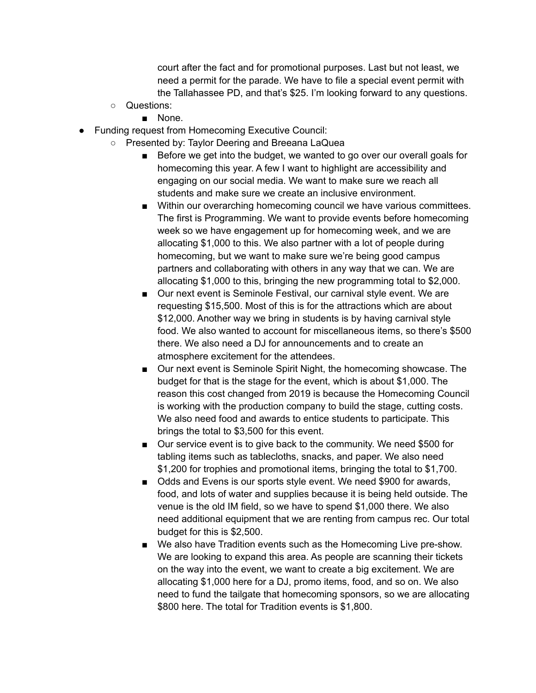court after the fact and for promotional purposes. Last but not least, we need a permit for the parade. We have to file a special event permit with the Tallahassee PD, and that's \$25. I'm looking forward to any questions.

- Questions:
	- None.
- Funding request from Homecoming Executive Council:
	- Presented by: Taylor Deering and Breeana LaQuea
		- Before we get into the budget, we wanted to go over our overall goals for homecoming this year. A few I want to highlight are accessibility and engaging on our social media. We want to make sure we reach all students and make sure we create an inclusive environment.
		- Within our overarching homecoming council we have various committees. The first is Programming. We want to provide events before homecoming week so we have engagement up for homecoming week, and we are allocating \$1,000 to this. We also partner with a lot of people during homecoming, but we want to make sure we're being good campus partners and collaborating with others in any way that we can. We are allocating \$1,000 to this, bringing the new programming total to \$2,000.
		- Our next event is Seminole Festival, our carnival style event. We are requesting \$15,500. Most of this is for the attractions which are about \$12,000. Another way we bring in students is by having carnival style food. We also wanted to account for miscellaneous items, so there's \$500 there. We also need a DJ for announcements and to create an atmosphere excitement for the attendees.
		- Our next event is Seminole Spirit Night, the homecoming showcase. The budget for that is the stage for the event, which is about \$1,000. The reason this cost changed from 2019 is because the Homecoming Council is working with the production company to build the stage, cutting costs. We also need food and awards to entice students to participate. This brings the total to \$3,500 for this event.
		- Our service event is to give back to the community. We need \$500 for tabling items such as tablecloths, snacks, and paper. We also need \$1,200 for trophies and promotional items, bringing the total to \$1,700.
		- Odds and Evens is our sports style event. We need \$900 for awards, food, and lots of water and supplies because it is being held outside. The venue is the old IM field, so we have to spend \$1,000 there. We also need additional equipment that we are renting from campus rec. Our total budget for this is \$2,500.
		- We also have Tradition events such as the Homecoming Live pre-show. We are looking to expand this area. As people are scanning their tickets on the way into the event, we want to create a big excitement. We are allocating \$1,000 here for a DJ, promo items, food, and so on. We also need to fund the tailgate that homecoming sponsors, so we are allocating \$800 here. The total for Tradition events is \$1,800.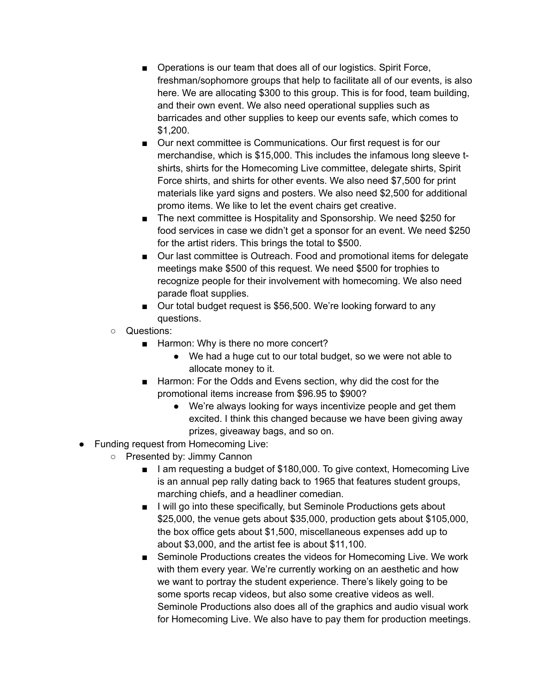- Operations is our team that does all of our logistics. Spirit Force, freshman/sophomore groups that help to facilitate all of our events, is also here. We are allocating \$300 to this group. This is for food, team building, and their own event. We also need operational supplies such as barricades and other supplies to keep our events safe, which comes to \$1,200.
- Our next committee is Communications. Our first request is for our merchandise, which is \$15,000. This includes the infamous long sleeve tshirts, shirts for the Homecoming Live committee, delegate shirts, Spirit Force shirts, and shirts for other events. We also need \$7,500 for print materials like yard signs and posters. We also need \$2,500 for additional promo items. We like to let the event chairs get creative.
- The next committee is Hospitality and Sponsorship. We need \$250 for food services in case we didn't get a sponsor for an event. We need \$250 for the artist riders. This brings the total to \$500.
- Our last committee is Outreach. Food and promotional items for delegate meetings make \$500 of this request. We need \$500 for trophies to recognize people for their involvement with homecoming. We also need parade float supplies.
- Our total budget request is \$56,500. We're looking forward to any questions.
- Questions:
	- Harmon: Why is there no more concert?
		- We had a huge cut to our total budget, so we were not able to allocate money to it.
	- Harmon: For the Odds and Evens section, why did the cost for the promotional items increase from \$96.95 to \$900?
		- We're always looking for ways incentivize people and get them excited. I think this changed because we have been giving away prizes, giveaway bags, and so on.
- Funding request from Homecoming Live:
	- Presented by: Jimmy Cannon
		- I am requesting a budget of \$180,000. To give context, Homecoming Live is an annual pep rally dating back to 1965 that features student groups, marching chiefs, and a headliner comedian.
		- I will go into these specifically, but Seminole Productions gets about \$25,000, the venue gets about \$35,000, production gets about \$105,000, the box office gets about \$1,500, miscellaneous expenses add up to about \$3,000, and the artist fee is about \$11,100.
		- Seminole Productions creates the videos for Homecoming Live. We work with them every year. We're currently working on an aesthetic and how we want to portray the student experience. There's likely going to be some sports recap videos, but also some creative videos as well. Seminole Productions also does all of the graphics and audio visual work for Homecoming Live. We also have to pay them for production meetings.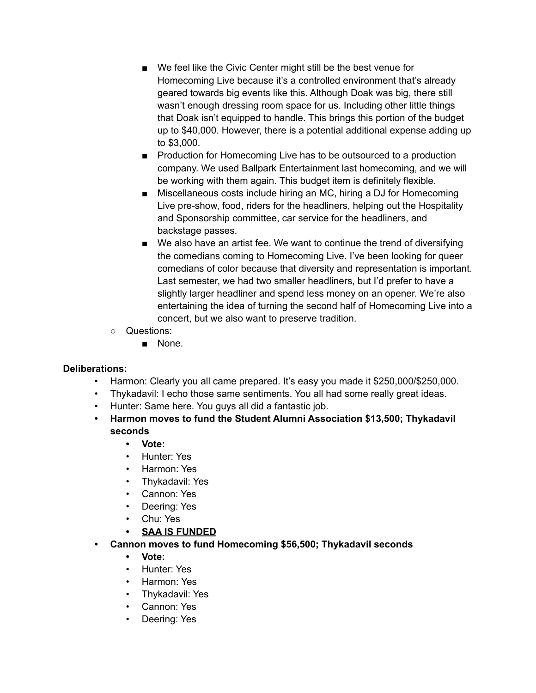- We feel like the Civic Center might still be the best venue for Homecoming Live because it's a controlled environment that's already geared towards big events like this. Although Doak was big, there still wasn't enough dressing room space for us. Including other little things that Doak isn't equipped to handle. This brings this portion of the budget up to \$40,000. However, there is a potential additional expense adding up to \$3,000.
- Production for Homecoming Live has to be outsourced to a production company. We used Ballpark Entertainment last homecoming, and we will be working with them again. This budget item is definitely flexible.
- Miscellaneous costs include hiring an MC, hiring a DJ for Homecoming Live pre-show, food, riders for the headliners, helping out the Hospitality and Sponsorship committee, car service for the headliners, and backstage passes.
- We also have an artist fee. We want to continue the trend of diversifying the comedians coming to Homecoming Live. I've been looking for queer comedians of color because that diversity and representation is important. Last semester, we had two smaller headliners, but I'd prefer to have a slightly larger headliner and spend less money on an opener. We're also entertaining the idea of turning the second half of Homecoming Live into a concert, but we also want to preserve tradition.
- Questions:
	- None.

## **Deliberations:**

- Harmon: Clearly you all came prepared. It's easy you made it \$250,000/\$250,000.
- Thykadavil: I echo those same sentiments. You all had some really great ideas.
- Hunter: Same here. You guys all did a fantastic job.
- **• Harmon moves to fund the Student Alumni Association \$13,500; Thykadavil seconds**

## **• Vote:**

- Hunter: Yes
- Harmon: Yes
- Thykadavil: Yes
- Cannon: Yes
- Deering: Yes
- Chu: Yes
- **• SAA IS FUNDED**
- **• Cannon moves to fund Homecoming \$56,500; Thykadavil seconds**
	- **• Vote:**
	- Hunter: Yes
	- Harmon: Yes
	- Thykadavil: Yes
	- Cannon: Yes
	- Deering: Yes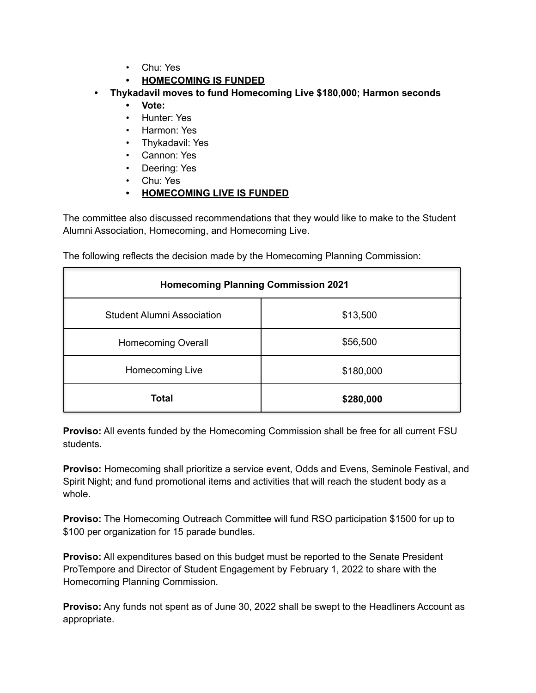- Chu: Yes
- **• HOMECOMING IS FUNDED**
- **• Thykadavil moves to fund Homecoming Live \$180,000; Harmon seconds**
	- **• Vote:**
	- Hunter: Yes
	- Harmon: Yes
	- Thykadavil: Yes
	- Cannon: Yes
	- Deering: Yes
	- Chu: Yes
	- **• HOMECOMING LIVE IS FUNDED**

The committee also discussed recommendations that they would like to make to the Student Alumni Association, Homecoming, and Homecoming Live.

| <b>Homecoming Planning Commission 2021</b> |           |
|--------------------------------------------|-----------|
| <b>Student Alumni Association</b>          | \$13,500  |
| <b>Homecoming Overall</b>                  | \$56,500  |
| Homecoming Live                            | \$180,000 |
| <b>Total</b>                               | \$280,000 |

The following reflects the decision made by the Homecoming Planning Commission:

**Proviso:** All events funded by the Homecoming Commission shall be free for all current FSU students.

**Proviso:** Homecoming shall prioritize a service event, Odds and Evens, Seminole Festival, and Spirit Night; and fund promotional items and activities that will reach the student body as a whole.

**Proviso:** The Homecoming Outreach Committee will fund RSO participation \$1500 for up to \$100 per organization for 15 parade bundles.

**Proviso:** All expenditures based on this budget must be reported to the Senate President ProTempore and Director of Student Engagement by February 1, 2022 to share with the Homecoming Planning Commission.

**Proviso:** Any funds not spent as of June 30, 2022 shall be swept to the Headliners Account as appropriate.